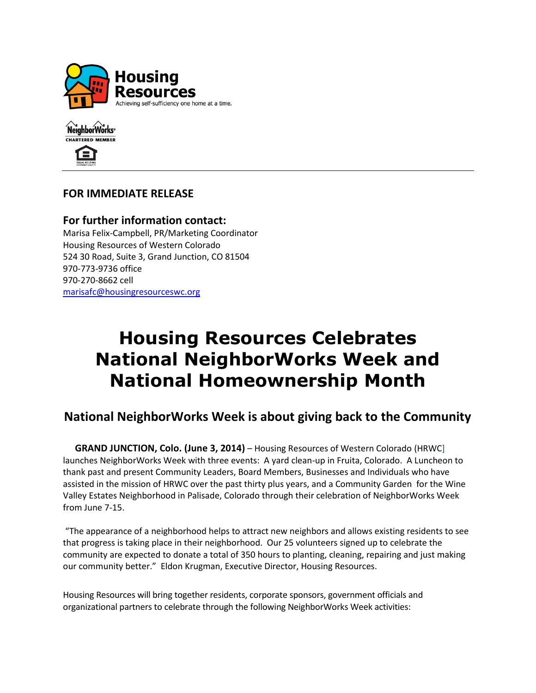



## **FOR IMMEDIATE RELEASE**

### **For further information contact:** Marisa Felix-Campbell, PR/Marketing Coordinator Housing Resources of Western Colorado 524 30 Road, Suite 3, Grand Junction, CO 81504 970-773-9736 office 970-270-8662 cell [marisafc@housingresourceswc.org](mailto:eldonk@housingresourceswc.org)

# **Housing Resources Celebrates National NeighborWorks Week and National Homeownership Month**

# **National NeighborWorks Week is about giving back to the Community**

**GRAND JUNCTION, Colo. (June 3, 2014)** – Housing Resources of Western Colorado (HRWC) launches NeighborWorks Week with three events: A yard clean-up in Fruita, Colorado. A Luncheon to thank past and present Community Leaders, Board Members, Businesses and Individuals who have assisted in the mission of HRWC over the past thirty plus years, and a Community Garden for the Wine Valley Estates Neighborhood in Palisade, Colorado through their celebration of NeighborWorks Week from June 7-15.

"The appearance of a neighborhood helps to attract new neighbors and allows existing residents to see that progress is taking place in their neighborhood. Our 25 volunteers signed up to celebrate the community are expected to donate a total of 350 hours to planting, cleaning, repairing and just making our community better." Eldon Krugman, Executive Director, Housing Resources.

Housing Resources will bring together residents, corporate sponsors, government officials and organizational partners to celebrate through the following NeighborWorks Week activities: